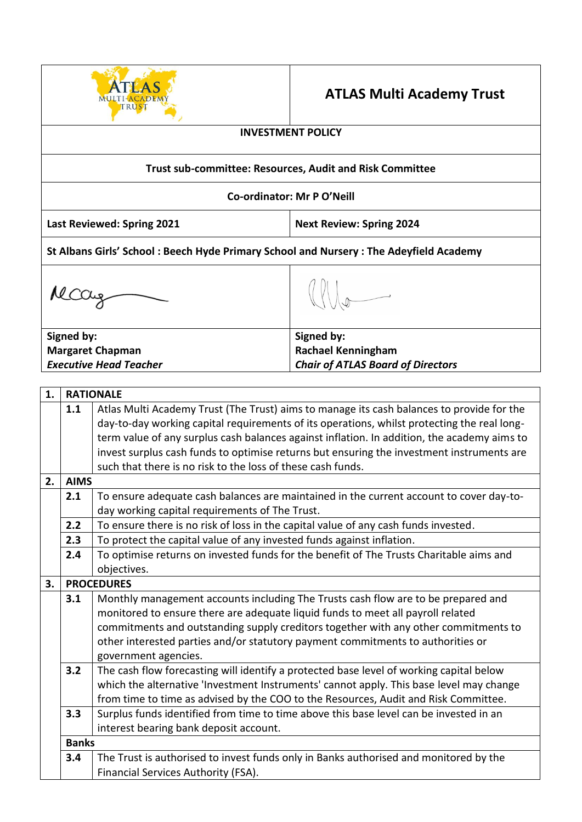

# **ATLAS Multi Academy Trust**

## **INVESTMENT POLICY**

### **Trust sub-committee: Resources, Audit and Risk Committee**

#### **Co-ordinator: Mr P O'Neill**

**Last Reviewed: Spring 2021 Next Review: Spring 2024**

**St Albans Girls' School : Beech Hyde Primary School and Nursery : The Adeyfield Academy**

Mccay

**Signed by: Margaret Chapman**  *Executive Head Teacher*

# **Signed by: Rachael Kenningham**  *Chair of ATLAS Board of Directors*

| 1. | <b>RATIONALE</b>                                                                               |                                                                                             |  |  |  |  |
|----|------------------------------------------------------------------------------------------------|---------------------------------------------------------------------------------------------|--|--|--|--|
|    | 1.1                                                                                            | Atlas Multi Academy Trust (The Trust) aims to manage its cash balances to provide for the   |  |  |  |  |
|    |                                                                                                | day-to-day working capital requirements of its operations, whilst protecting the real long- |  |  |  |  |
|    |                                                                                                | term value of any surplus cash balances against inflation. In addition, the academy aims to |  |  |  |  |
|    |                                                                                                | invest surplus cash funds to optimise returns but ensuring the investment instruments are   |  |  |  |  |
|    |                                                                                                | such that there is no risk to the loss of these cash funds.                                 |  |  |  |  |
| 2. | <b>AIMS</b>                                                                                    |                                                                                             |  |  |  |  |
|    | 2.1                                                                                            | To ensure adequate cash balances are maintained in the current account to cover day-to-     |  |  |  |  |
|    |                                                                                                | day working capital requirements of The Trust.                                              |  |  |  |  |
|    | 2.2                                                                                            | To ensure there is no risk of loss in the capital value of any cash funds invested.         |  |  |  |  |
|    | 2.3                                                                                            | To protect the capital value of any invested funds against inflation.                       |  |  |  |  |
|    | 2.4                                                                                            | To optimise returns on invested funds for the benefit of The Trusts Charitable aims and     |  |  |  |  |
|    |                                                                                                | objectives.                                                                                 |  |  |  |  |
| 3. |                                                                                                | <b>PROCEDURES</b>                                                                           |  |  |  |  |
|    | 3.1                                                                                            | Monthly management accounts including The Trusts cash flow are to be prepared and           |  |  |  |  |
|    |                                                                                                | monitored to ensure there are adequate liquid funds to meet all payroll related             |  |  |  |  |
|    |                                                                                                | commitments and outstanding supply creditors together with any other commitments to         |  |  |  |  |
|    |                                                                                                | other interested parties and/or statutory payment commitments to authorities or             |  |  |  |  |
|    |                                                                                                | government agencies.                                                                        |  |  |  |  |
|    | The cash flow forecasting will identify a protected base level of working capital below<br>3.2 |                                                                                             |  |  |  |  |
|    | which the alternative 'Investment Instruments' cannot apply. This base level may change        |                                                                                             |  |  |  |  |
|    | from time to time as advised by the COO to the Resources, Audit and Risk Committee.            |                                                                                             |  |  |  |  |
|    | 3.3<br>Surplus funds identified from time to time above this base level can be invested in an  |                                                                                             |  |  |  |  |
|    | interest bearing bank deposit account.                                                         |                                                                                             |  |  |  |  |
|    | <b>Banks</b>                                                                                   |                                                                                             |  |  |  |  |
|    | 3.4                                                                                            | The Trust is authorised to invest funds only in Banks authorised and monitored by the       |  |  |  |  |
|    |                                                                                                | Financial Services Authority (FSA).                                                         |  |  |  |  |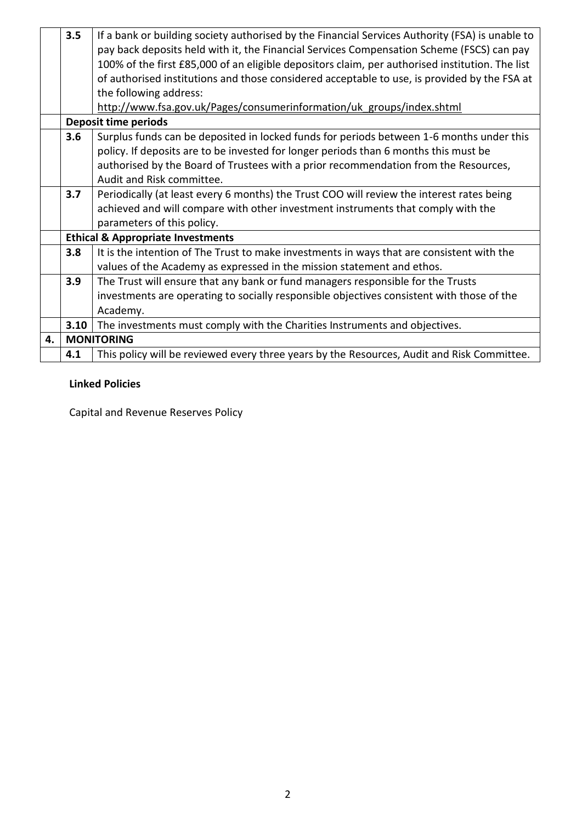|    | 3.5                                                                                 | If a bank or building society authorised by the Financial Services Authority (FSA) is unable to<br>pay back deposits held with it, the Financial Services Compensation Scheme (FSCS) can pay<br>100% of the first £85,000 of an eligible depositors claim, per authorised institution. The list<br>of authorised institutions and those considered acceptable to use, is provided by the FSA at |  |  |  |
|----|-------------------------------------------------------------------------------------|-------------------------------------------------------------------------------------------------------------------------------------------------------------------------------------------------------------------------------------------------------------------------------------------------------------------------------------------------------------------------------------------------|--|--|--|
|    |                                                                                     | the following address:                                                                                                                                                                                                                                                                                                                                                                          |  |  |  |
|    |                                                                                     | http://www.fsa.gov.uk/Pages/consumerinformation/uk groups/index.shtml                                                                                                                                                                                                                                                                                                                           |  |  |  |
|    |                                                                                     | <b>Deposit time periods</b>                                                                                                                                                                                                                                                                                                                                                                     |  |  |  |
|    | 3.6                                                                                 | Surplus funds can be deposited in locked funds for periods between 1-6 months under this                                                                                                                                                                                                                                                                                                        |  |  |  |
|    |                                                                                     | policy. If deposits are to be invested for longer periods than 6 months this must be                                                                                                                                                                                                                                                                                                            |  |  |  |
|    | authorised by the Board of Trustees with a prior recommendation from the Resources, |                                                                                                                                                                                                                                                                                                                                                                                                 |  |  |  |
|    | Audit and Risk committee.                                                           |                                                                                                                                                                                                                                                                                                                                                                                                 |  |  |  |
|    | 3.7                                                                                 | Periodically (at least every 6 months) the Trust COO will review the interest rates being                                                                                                                                                                                                                                                                                                       |  |  |  |
|    |                                                                                     | achieved and will compare with other investment instruments that comply with the                                                                                                                                                                                                                                                                                                                |  |  |  |
|    |                                                                                     | parameters of this policy.                                                                                                                                                                                                                                                                                                                                                                      |  |  |  |
|    | <b>Ethical &amp; Appropriate Investments</b>                                        |                                                                                                                                                                                                                                                                                                                                                                                                 |  |  |  |
|    | 3.8                                                                                 | It is the intention of The Trust to make investments in ways that are consistent with the                                                                                                                                                                                                                                                                                                       |  |  |  |
|    |                                                                                     | values of the Academy as expressed in the mission statement and ethos.                                                                                                                                                                                                                                                                                                                          |  |  |  |
|    | 3.9                                                                                 | The Trust will ensure that any bank or fund managers responsible for the Trusts                                                                                                                                                                                                                                                                                                                 |  |  |  |
|    |                                                                                     | investments are operating to socially responsible objectives consistent with those of the                                                                                                                                                                                                                                                                                                       |  |  |  |
|    |                                                                                     | Academy.                                                                                                                                                                                                                                                                                                                                                                                        |  |  |  |
|    | 3.10                                                                                | The investments must comply with the Charities Instruments and objectives.                                                                                                                                                                                                                                                                                                                      |  |  |  |
| 4. |                                                                                     | <b>MONITORING</b>                                                                                                                                                                                                                                                                                                                                                                               |  |  |  |
|    | 4.1                                                                                 | This policy will be reviewed every three years by the Resources, Audit and Risk Committee.                                                                                                                                                                                                                                                                                                      |  |  |  |

# **Linked Policies**

Capital and Revenue Reserves Policy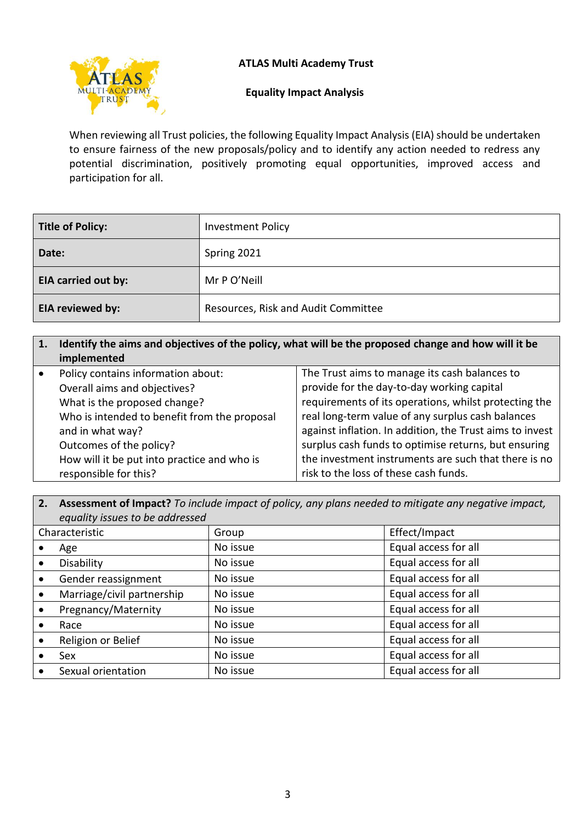# **ATLAS Multi Academy Trust**



### **Equality Impact Analysis**

When reviewing all Trust policies, the following Equality Impact Analysis (EIA) should be undertaken to ensure fairness of the new proposals/policy and to identify any action needed to redress any potential discrimination, positively promoting equal opportunities, improved access and participation for all.

| <b>Title of Policy:</b>    | <b>Investment Policy</b>            |
|----------------------------|-------------------------------------|
| Date:                      | Spring 2021                         |
| <b>EIA carried out by:</b> | Mr P O'Neill                        |
| EIA reviewed by:           | Resources, Risk and Audit Committee |

| 1. | Identify the aims and objectives of the policy, what will be the proposed change and how will it be<br>implemented |                                                          |  |
|----|--------------------------------------------------------------------------------------------------------------------|----------------------------------------------------------|--|
|    | Policy contains information about:                                                                                 | The Trust aims to manage its cash balances to            |  |
|    | Overall aims and objectives?                                                                                       | provide for the day-to-day working capital               |  |
|    | What is the proposed change?                                                                                       | requirements of its operations, whilst protecting the    |  |
|    | Who is intended to benefit from the proposal                                                                       | real long-term value of any surplus cash balances        |  |
|    | and in what way?                                                                                                   | against inflation. In addition, the Trust aims to invest |  |
|    | Outcomes of the policy?                                                                                            | surplus cash funds to optimise returns, but ensuring     |  |
|    | How will it be put into practice and who is                                                                        | the investment instruments are such that there is no     |  |
|    | responsible for this?                                                                                              | risk to the loss of these cash funds.                    |  |

**2. Assessment of Impact?** *To include impact of policy, any plans needed to mitigate any negative impact, equality issues to be addressed*

|                | equality issues to be qualessed |          |                      |  |
|----------------|---------------------------------|----------|----------------------|--|
| Characteristic |                                 | Group    | Effect/Impact        |  |
|                | Age                             | No issue | Equal access for all |  |
|                | Disability                      | No issue | Equal access for all |  |
|                | Gender reassignment             | No issue | Equal access for all |  |
|                | Marriage/civil partnership      | No issue | Equal access for all |  |
|                | Pregnancy/Maternity             | No issue | Equal access for all |  |
|                | Race                            | No issue | Equal access for all |  |
|                | Religion or Belief              | No issue | Equal access for all |  |
|                | Sex                             | No issue | Equal access for all |  |
|                | Sexual orientation              | No issue | Equal access for all |  |